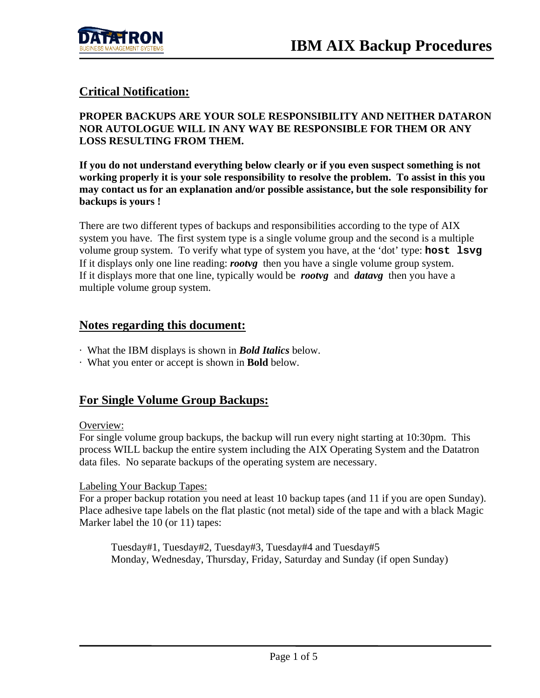

## **Critical Notification:**

### **PROPER BACKUPS ARE YOUR SOLE RESPONSIBILITY AND NEITHER DATARON NOR AUTOLOGUE WILL IN ANY WAY BE RESPONSIBLE FOR THEM OR ANY LOSS RESULTING FROM THEM.**

**If you do not understand everything below clearly or if you even suspect something is not working properly it is your sole responsibility to resolve the problem. To assist in this you may contact us for an explanation and/or possible assistance, but the sole responsibility for backups is yours !** 

There are two different types of backups and responsibilities according to the type of AIX system you have. The first system type is a single volume group and the second is a multiple volume group system. To verify what type of system you have, at the 'dot' type: **host lsvg** If it displays only one line reading: *rootvg* then you have a single volume group system. If it displays more that one line, typically would be *rootvg* and *datavg* then you have a multiple volume group system.

### **Notes regarding this document:**

- · What the IBM displays is shown in *Bold Italics* below.
- · What you enter or accept is shown in **Bold** below.

## **For Single Volume Group Backups:**

#### Overview:

For single volume group backups, the backup will run every night starting at 10:30pm. This process WILL backup the entire system including the AIX Operating System and the Datatron data files. No separate backups of the operating system are necessary.

### Labeling Your Backup Tapes:

For a proper backup rotation you need at least 10 backup tapes (and 11 if you are open Sunday). Place adhesive tape labels on the flat plastic (not metal) side of the tape and with a black Magic Marker label the 10 (or 11) tapes:

 Tuesday#1, Tuesday#2, Tuesday#3, Tuesday#4 and Tuesday#5 Monday, Wednesday, Thursday, Friday, Saturday and Sunday (if open Sunday)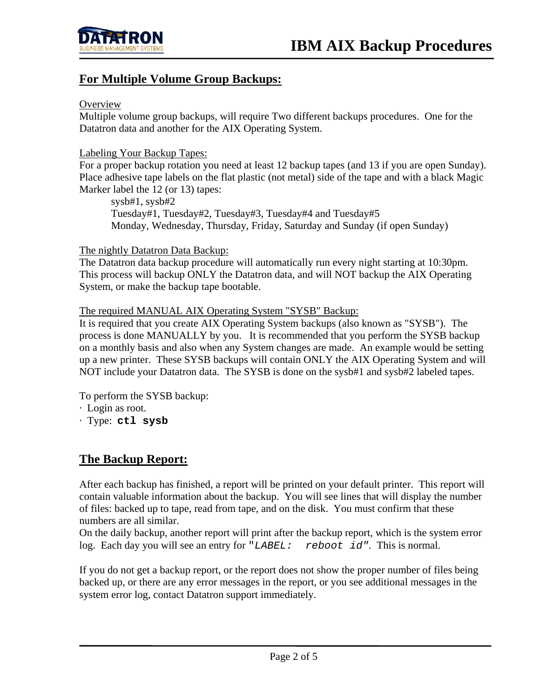

### **For Multiple Volume Group Backups:**

#### **Overview**

Multiple volume group backups, will require Two different backups procedures. One for the Datatron data and another for the AIX Operating System.

### Labeling Your Backup Tapes:

For a proper backup rotation you need at least 12 backup tapes (and 13 if you are open Sunday). Place adhesive tape labels on the flat plastic (not metal) side of the tape and with a black Magic Marker label the 12 (or 13) tapes:

 sysb#1, sysb#2 Tuesday#1, Tuesday#2, Tuesday#3, Tuesday#4 and Tuesday#5 Monday, Wednesday, Thursday, Friday, Saturday and Sunday (if open Sunday)

#### The nightly Datatron Data Backup:

The Datatron data backup procedure will automatically run every night starting at 10:30pm. This process will backup ONLY the Datatron data, and will NOT backup the AIX Operating System, or make the backup tape bootable.

### The required MANUAL AIX Operating System "SYSB" Backup:

It is required that you create AIX Operating System backups (also known as "SYSB"). The process is done MANUALLY by you. It is recommended that you perform the SYSB backup on a monthly basis and also when any System changes are made. An example would be setting up a new printer. These SYSB backups will contain ONLY the AIX Operating System and will NOT include your Datatron data. The SYSB is done on the sysb#1 and sysb#2 labeled tapes.

To perform the SYSB backup:

- · Login as root.
- · Type: **ctl sysb**

### **The Backup Report:**

After each backup has finished, a report will be printed on your default printer. This report will contain valuable information about the backup. You will see lines that will display the number of files: backed up to tape, read from tape, and on the disk. You must confirm that these numbers are all similar.

On the daily backup, another report will print after the backup report, which is the system error log. Each day you will see an entry for "*LABEL: reboot id".* This is normal.

If you do not get a backup report, or the report does not show the proper number of files being backed up, or there are any error messages in the report, or you see additional messages in the system error log, contact Datatron support immediately.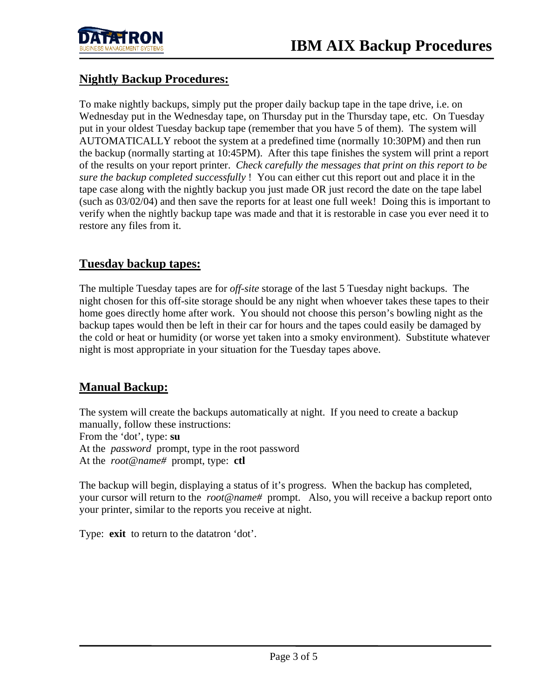

## **Nightly Backup Procedures:**

To make nightly backups, simply put the proper daily backup tape in the tape drive, i.e. on Wednesday put in the Wednesday tape, on Thursday put in the Thursday tape, etc. On Tuesday put in your oldest Tuesday backup tape (remember that you have 5 of them). The system will AUTOMATICALLY reboot the system at a predefined time (normally 10:30PM) and then run the backup (normally starting at 10:45PM). After this tape finishes the system will print a report of the results on your report printer. *Check carefully the messages that print on this report to be sure the backup completed successfully* ! You can either cut this report out and place it in the tape case along with the nightly backup you just made OR just record the date on the tape label (such as 03/02/04) and then save the reports for at least one full week! Doing this is important to verify when the nightly backup tape was made and that it is restorable in case you ever need it to restore any files from it.

## **Tuesday backup tapes:**

The multiple Tuesday tapes are for *off-site* storage of the last 5 Tuesday night backups. The night chosen for this off-site storage should be any night when whoever takes these tapes to their home goes directly home after work. You should not choose this person's bowling night as the backup tapes would then be left in their car for hours and the tapes could easily be damaged by the cold or heat or humidity (or worse yet taken into a smoky environment). Substitute whatever night is most appropriate in your situation for the Tuesday tapes above.

# **Manual Backup:**

The system will create the backups automatically at night. If you need to create a backup manually, follow these instructions: From the 'dot', type: **su** At the *password* prompt, type in the root password At the *root@name#* prompt, type: **ctl** 

The backup will begin, displaying a status of it's progress. When the backup has completed, your cursor will return to the *root@name#* prompt. Also, you will receive a backup report onto your printer, similar to the reports you receive at night.

Type: **exit** to return to the datatron 'dot'.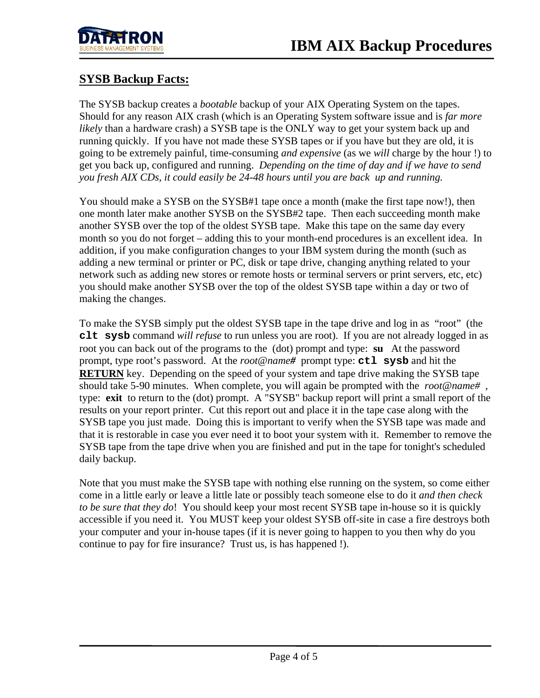

## **SYSB Backup Facts:**

The SYSB backup creates a *bootable* backup of your AIX Operating System on the tapes. Should for any reason AIX crash (which is an Operating System software issue and is *far more likely* than a hardware crash) a SYSB tape is the ONLY way to get your system back up and running quickly. If you have not made these SYSB tapes or if you have but they are old, it is going to be extremely painful, time-consuming *and expensive* (as we *will* charge by the hour !) to get you back up, configured and running. *Depending on the time of day and if we have to send you fresh AIX CDs, it could easily be 24-48 hours until you are back up and running.*

You should make a SYSB on the SYSB#1 tape once a month (make the first tape now!), then one month later make another SYSB on the SYSB#2 tape. Then each succeeding month make another SYSB over the top of the oldest SYSB tape. Make this tape on the same day every month so you do not forget – adding this to your month-end procedures is an excellent idea. In addition, if you make configuration changes to your IBM system during the month (such as adding a new terminal or printer or PC, disk or tape drive, changing anything related to your network such as adding new stores or remote hosts or terminal servers or print servers, etc, etc) you should make another SYSB over the top of the oldest SYSB tape within a day or two of making the changes.

To make the SYSB simply put the oldest SYSB tape in the tape drive and log in as "root" (the **clt sysb** command *will refuse* to run unless you are root). If you are not already logged in as root you can back out of the programs to the (dot) prompt and type: **su** At the password prompt, type root's password. At the *root@name#* prompt type: **ctl sysb** and hit the **RETURN** key. Depending on the speed of your system and tape drive making the SYSB tape should take 5-90 minutes. When complete, you will again be prompted with the *root@name#* , type: **exit** to return to the (dot) prompt. A "SYSB" backup report will print a small report of the results on your report printer. Cut this report out and place it in the tape case along with the SYSB tape you just made. Doing this is important to verify when the SYSB tape was made and that it is restorable in case you ever need it to boot your system with it. Remember to remove the SYSB tape from the tape drive when you are finished and put in the tape for tonight's scheduled daily backup.

Note that you must make the SYSB tape with nothing else running on the system, so come either come in a little early or leave a little late or possibly teach someone else to do it *and then check to be sure that they do*! You should keep your most recent SYSB tape in-house so it is quickly accessible if you need it. You MUST keep your oldest SYSB off-site in case a fire destroys both your computer and your in-house tapes (if it is never going to happen to you then why do you continue to pay for fire insurance? Trust us, is has happened !).